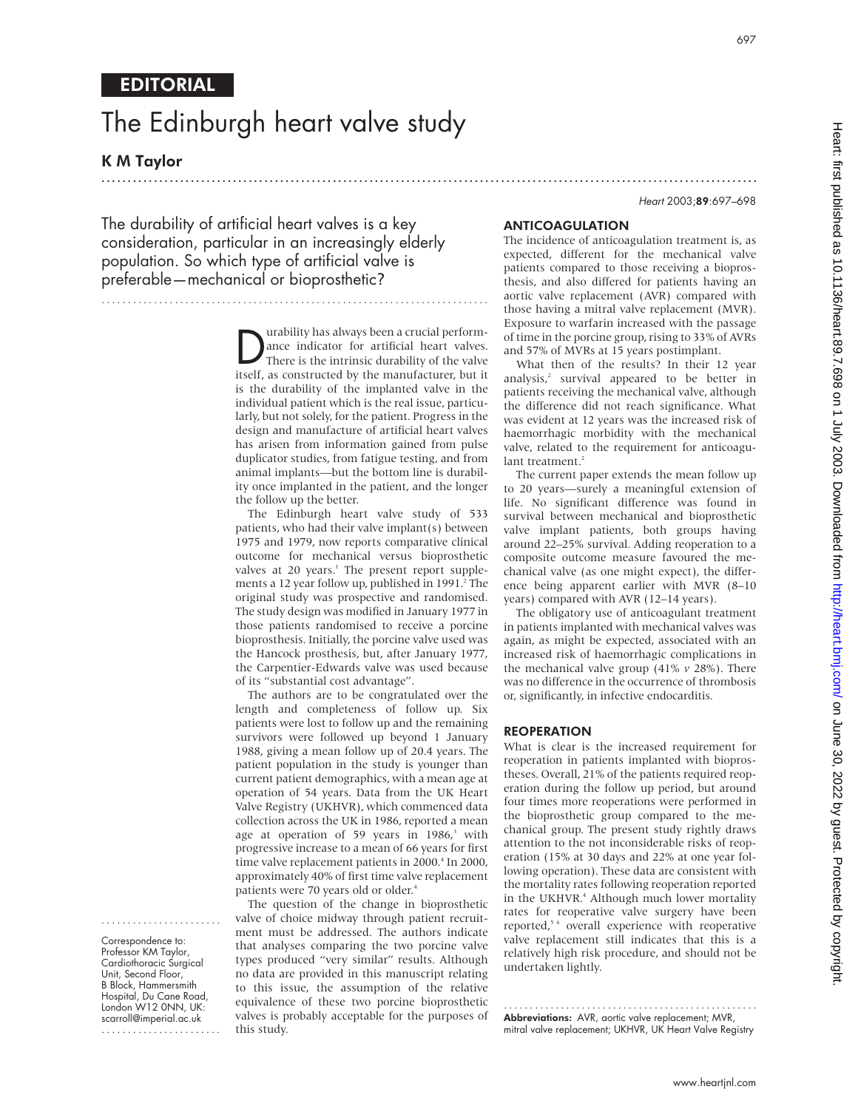# The Edinburgh heart valve study

K M Taylor

....................... Correspondence to: Professor KM Taylor, Cardiothoracic Surgical Unit, Second Floor, B Block, Hammersmith Hospital, Du Cane Road, London W12 0NN, UK: scarroll@imperial.ac.uk .......................

EDITORIAL

Heart 2003;89:697–698

The durability of artificial heart valves is a key consideration, particular in an increasingly elderly population. So which type of artificial valve is preferable—mechanical or bioprosthetic?

> **Durability has always been a crucial perform-**<br>
> There is the intrinsic durability of the valve<br>
> stream as a constructed by the manufacturer but it ance indicator for artificial heart valves. itself, as constructed by the manufacturer, but it is the durability of the implanted valve in the individual patient which is the real issue, particularly, but not solely, for the patient. Progress in the design and manufacture of artificial heart valves has arisen from information gained from pulse duplicator studies, from fatigue testing, and from animal implants—but the bottom line is durability once implanted in the patient, and the longer the follow up the better.

.............................................................................................................................

..........................................................................

The Edinburgh heart valve study of 533 patients, who had their valve implant(s) between 1975 and 1979, now reports comparative clinical outcome for mechanical versus bioprosthetic valves at 20 years.<sup>1</sup> The present report supplements a 12 year follow up, published in 1991.<sup>2</sup> The original study was prospective and randomised. The study design was modified in January 1977 in those patients randomised to receive a porcine bioprosthesis. Initially, the porcine valve used was the Hancock prosthesis, but, after January 1977, the Carpentier-Edwards valve was used because of its "substantial cost advantage".

The authors are to be congratulated over the length and completeness of follow up. Six patients were lost to follow up and the remaining survivors were followed up beyond 1 January 1988, giving a mean follow up of 20.4 years. The patient population in the study is younger than current patient demographics, with a mean age at operation of 54 years. Data from the UK Heart Valve Registry (UKHVR), which commenced data collection across the UK in 1986, reported a mean age at operation of 59 years in  $1986$ ,<sup>3</sup> with progressive increase to a mean of 66 years for first time valve replacement patients in 2000.<sup>4</sup> In 2000, approximately 40% of first time valve replacement patients were 70 years old or older.<sup>4</sup>

The question of the change in bioprosthetic valve of choice midway through patient recruitment must be addressed. The authors indicate that analyses comparing the two porcine valve types produced "very similar" results. Although no data are provided in this manuscript relating to this issue, the assumption of the relative equivalence of these two porcine bioprosthetic valves is probably acceptable for the purposes of this study.

# ANTICOAGULATION

The incidence of anticoagulation treatment is, as expected, different for the mechanical valve patients compared to those receiving a bioprosthesis, and also differed for patients having an aortic valve replacement (AVR) compared with those having a mitral valve replacement (MVR). Exposure to warfarin increased with the passage of time in the porcine group, rising to 33% of AVRs and 57% of MVRs at 15 years postimplant.

What then of the results? In their 12 year analysis,<sup>2</sup> survival appeared to be better in patients receiving the mechanical valve, although the difference did not reach significance. What was evident at 12 years was the increased risk of haemorrhagic morbidity with the mechanical valve, related to the requirement for anticoagulant treatment.<sup>2</sup>

The current paper extends the mean follow up to 20 years—surely a meaningful extension of life. No significant difference was found in survival between mechanical and bioprosthetic valve implant patients, both groups having around 22–25% survival. Adding reoperation to a composite outcome measure favoured the mechanical valve (as one might expect), the difference being apparent earlier with MVR (8–10 years) compared with AVR (12–14 years).

The obligatory use of anticoagulant treatment in patients implanted with mechanical valves was again, as might be expected, associated with an increased risk of haemorrhagic complications in the mechanical valve group (41% *v* 28%). There was no difference in the occurrence of thrombosis or, significantly, in infective endocarditis.

## **REOPERATION**

What is clear is the increased requirement for reoperation in patients implanted with bioprostheses. Overall, 21% of the patients required reoperation during the follow up period, but around four times more reoperations were performed in the bioprosthetic group compared to the mechanical group. The present study rightly draws attention to the not inconsiderable risks of reoperation (15% at 30 days and 22% at one year following operation). These data are consistent with the mortality rates following reoperation reported in the UKHVR.<sup>4</sup> Although much lower mortality rates for reoperative valve surgery have been reported,<sup>5 6</sup> overall experience with reoperative valve replacement still indicates that this is a relatively high risk procedure, and should not be undertaken lightly.

................................................. Abbreviations: AVR, aortic valve replacement; MVR, mitral valve replacement; UKHVR, UK Heart Valve Registry